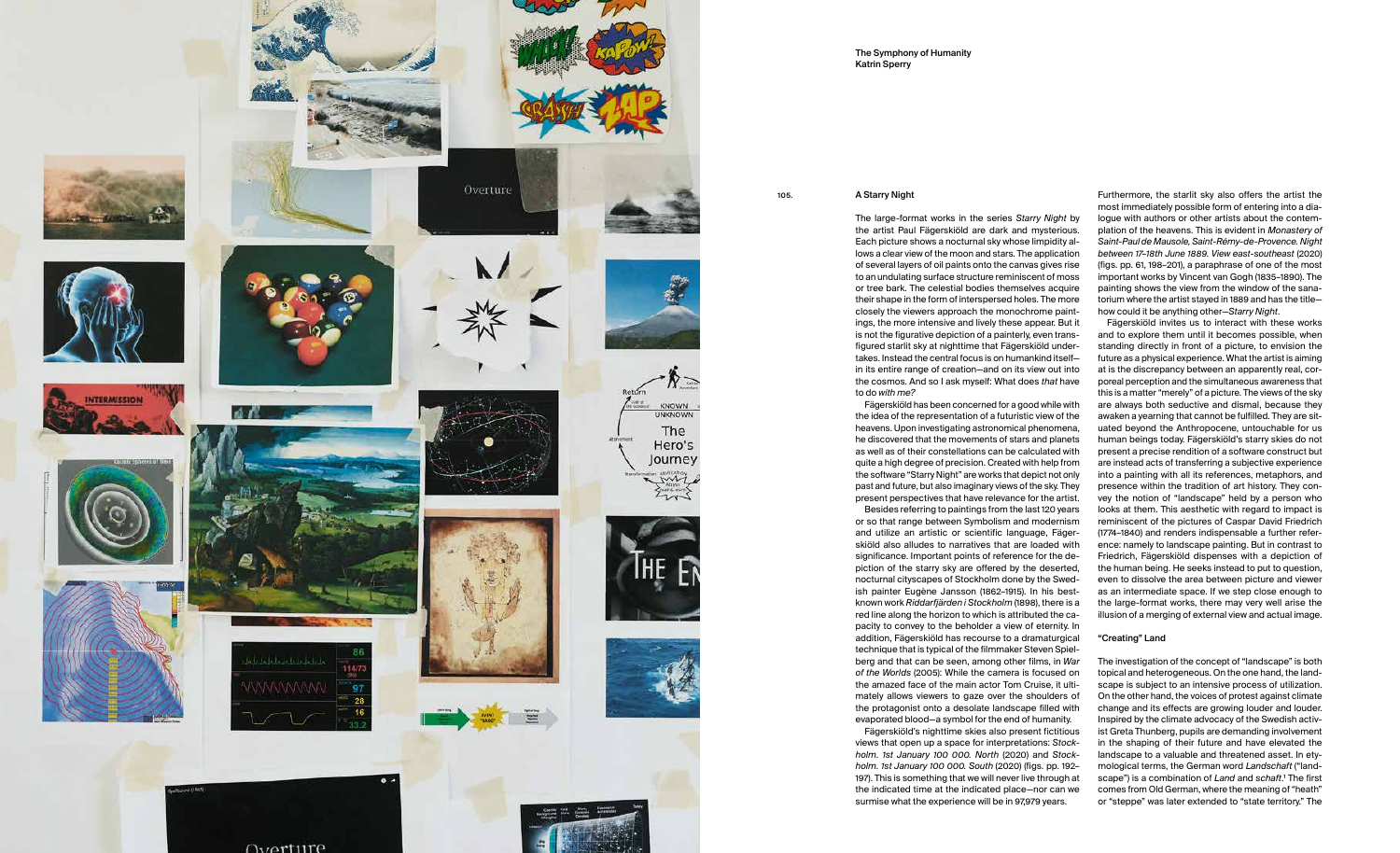The large-format works in the series *Starry Night* by the artist Paul Fägerskiöld are dark and mysterious. Each picture shows a nocturnal sky whose limpidity allows a clear view of the moon and stars. The application of several layers of oil paints onto the canvas gives rise to an undulating surface structure reminiscent of moss or tree bark. The celestial bodies themselves acquire their shape in the form of interspersed holes. The more closely the viewers approach the monochrome paintings, the more intensive and lively these appear. But it is not the figurative depiction of a painterly, even transfigured starlit sky at nighttime that Fägerskiöld undertakes. Instead the central focus is on humankind itself in its entire range of creation—and on its view out into the cosmos. And so I ask myself: What does *that* have to do *with me?*

Fägerskiöld has been concerned for a good while with the idea of the representation of a futuristic view of the heavens. Upon investigating astronomical phenomena, he discovered that the movements of stars and planets as well as of their constellations can be calculated with quite a high degree of precision. Created with help from the software "Starry Night" are works that depict not only past and future, but also imaginary views of the sky. They present perspectives that have relevance for the artist. Besides referring to paintings from the last 120 years or so that range between Symbolism and modernism and utilize an artistic or scientific language, Fägerskiöld also alludes to narratives that are loaded with significance. Important points of reference for the depiction of the starry sky are offered by the deserted, nocturnal cityscapes of Stockholm done by the Swedish painter Eugène Jansson (1862–1915). In his bestknown work *Riddarfjärden i Stockholm* (1898), there is a red line along the horizon to which is attributed the capacity to convey to the beholder a view of eternity. In addition, Fägerskiöld has recourse to a dramaturgical technique that is typical of the filmmaker Steven Spielberg and that can be seen, among other films, in *War of the Worlds* (2005): While the camera is focused on the amazed face of the main actor Tom Cruise, it ultimately allows viewers to gaze over the shoulders of the protagonist onto a desolate landscape filled with

evaporated blood—a symbol for the end of humanity.

Fägerskiöld's nighttime skies also present fictitious views that open up a space for interpretations: *Stockholm. 1st January 100 000. North* (2020) and *Stockholm. 1st January 100 000. South* (2020) (figs. pp. 192– 197). This is something that we will never live through at the indicated time at the indicated place—nor can we surmise what the experience will be in 97,979 years.

Furthermore, the starlit sky also offers the artist the most immediately possible form of entering into a dialogue with authors or other artists about the contemplation of the heavens. This is evident in *Monastery of Saint-Paul de Mausole, Saint-Rémy-de-Provence. Night between 17–18th June 1889. View east-southeast* (2020) (figs. pp. 61, 198–201), a paraphrase of one of the most important works by Vincent van Gogh (1835–1890). The painting shows the view from the window of the sanatorium where the artist stayed in 1889 and has the title how could it be anything other—*Starry Night*.

Fägerskiöld invites us to interact with these works and to explore them until it becomes possible, when standing directly in front of a picture, to envision the future as a physical experience. What the artist is aiming at is the discrepancy between an apparently real, corporeal perception and the simultaneous awareness that this is a matter "merely" of a picture. The views of the sky are always both seductive and dismal, because they awaken a yearning that cannot be fulfilled. They are situated beyond the Anthropocene, untouchable for us human beings today. Fägerskiöld's starry skies do not present a precise rendition of a software construct but are instead acts of transferring a subjective experience into a painting with all its references, metaphors, and presence within the tradition of art history. They convey the notion of "landscape" held by a person who looks at them. This aesthetic with regard to impact is reminiscent of the pictures of Caspar David Friedrich (1774–1840) and renders indispensable a further reference: namely to landscape painting. But in contrast to Friedrich, Fägerskiöld dispenses with a depiction of the human being. He seeks instead to put to question, even to dissolve the area between picture and viewer as an intermediate space. If we step close enough to the large-format works, there may very well arise the illusion of a merging of external view and actual image.

### "Creating" Land

The investigation of the concept of "landscape" is both topical and heterogeneous. On the one hand, the landscape is subject to an intensive process of utilization. On the other hand, the voices of protest against climate change and its effects are growing louder and louder. Inspired by the climate advocacy of the Swedish activist Greta Thunberg, pupils are demanding involvement in the shaping of their future and have elevated the landscape to a valuable and threatened asset. In etymological terms, the German word *Landschaft* ("landscape") is a combination of *Land* and *schaft*.1 The first comes from Old German, where the meaning of "heath" or "steppe" was later extended to "state territory." The



The Symphony of Humanity Katrin Sperry

105. **A Starry Night**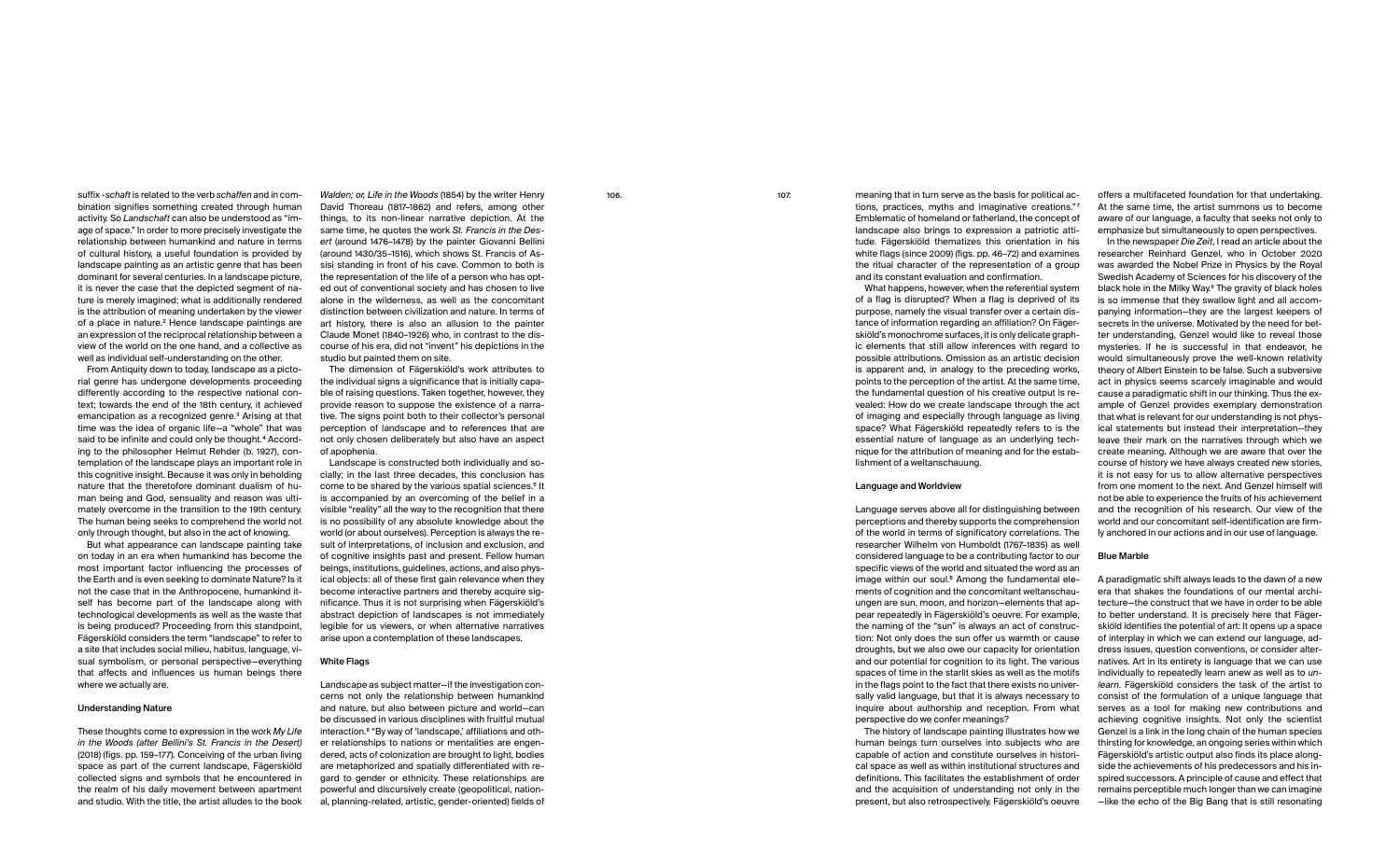106. 107. 107. The meaning that in turn serve as the basis for political actions, practices, myths and imaginative creations."7 Emblematic of homeland or fatherland, the concept of landscape also brings to expression a patriotic attitude. Fägerskiöld thematizes this orientation in his white flags (since 2009) (figs. pp. 46–72) and examines the ritual character of the representation of a group and its constant evaluation and confirmation.

What happens, however, when the referential system of a flag is disrupted? When a flag is deprived of its purpose, namely the visual transfer over a certain distance of information regarding an affiliation? On Fägerskiöld's monochrome surfaces, it is only delicate graphic elements that still allow inferences with regard to possible attributions. Omission as an artistic decision is apparent and, in analogy to the preceding works, points to the perception of the artist. At the same time, the fundamental question of his creative output is revealed: How do we create landscape through the act of imaging and especially through language as living space? What Fägerskiöld repeatedly refers to is the essential nature of language as an underlying technique for the attribution of meaning and for the establishment of a weltanschauung.

#### Language and Worldview

Language serves above all for distinguishing between perceptions and thereby supports the comprehension of the world in terms of significatory correlations. The researcher Wilhelm von Humboldt (1767–1835) as well considered language to be a contributing factor to our specific views of the world and situated the word as an image within our soul.<sup>8</sup> Among the fundamental elements of cognition and the concomitant weltanschauungen are sun, moon, and horizon—elements that appear repeatedly in Fägerskiöld's oeuvre. For example, the naming of the "sun" is always an act of construction: Not only does the sun offer us warmth or cause droughts, but we also owe our capacity for orientation and our potential for cognition to its light. The various spaces of time in the starlit skies as well as the motifs in the flags point to the fact that there exists no universally valid language, but that it is always necessary to inquire about authorship and reception. From what perspective do we confer meanings?

The history of landscape painting illustrates how we human beings turn ourselves into subjects who are capable of action and constitute ourselves in historical space as well as within institutional structures and definitions. This facilitates the establishment of order and the acquisition of understanding not only in the present, but also retrospectively. Fägerskiöld's oeuvre offers a multifaceted foundation for that undertaking. At the same time, the artist summons us to become aware of our language, a faculty that seeks not only to emphasize but simultaneously to open perspectives.

In the newspaper *Die Zeit*, I read an article about the researcher Reinhard Genzel, who in October 2020 was awarded the Nobel Prize in Physics by the Royal Swedish Academy of Sciences for his discovery of the black hole in the Milky Way.9 The gravity of black holes is so immense that they swallow light and all accompanying information—they are the largest keepers of secrets in the universe. Motivated by the need for better understanding, Genzel would like to reveal those mysteries. If he is successful in that endeavor, he would simultaneously prove the well-known relativity theory of Albert Einstein to be false. Such a subversive act in physics seems scarcely imaginable and would cause a paradigmatic shift in our thinking. Thus the example of Genzel provides exemplary demonstration that what is relevant for our understanding is not physical statements but instead their interpretation—they leave their mark on the narratives through which we create meaning. Although we are aware that over the course of history we have always created new stories, it is not easy for us to allow alternative perspectives from one moment to the next. And Genzel himself will not be able to experience the fruits of his achievement and the recognition of his research. Our view of the world and our concomitant self-identification are firmly anchored in our actions and in our use of language.

# Blue Marble

A paradigmatic shift always leads to the dawn of a new era that shakes the foundations of our mental architecture—the construct that we have in order to be able to better understand. It is precisely here that Fägerskiöld identifies the potential of art: It opens up a space of interplay in which we can extend our language, address issues, question conventions, or consider alternatives. Art in its entirety is language that we can use individually to repeatedly learn anew as well as to *unlearn*. Fägerskiöld considers the task of the artist to consist of the formulation of a unique language that serves as a tool for making new contributions and achieving cognitive insights. Not only the scientist Genzel is a link in the long chain of the human species thirsting for knowledge, an ongoing series within which Fägerskiöld's artistic output also finds its place alongside the achievements of his predecessors and his inspired successors. A principle of cause and effect that remains perceptible much longer than we can imagine —like the echo of the Big Bang that is still resonating

suffix -*schaft* is related to the verb *schaffen* and in combination signifies something created through human activity. So *Landschaft* can also be understood as "image of space." In order to more precisely investigate the relationship between humankind and nature in terms of cultural history, a useful foundation is provided by landscape painting as an artistic genre that has been dominant for several centuries. In a landscape picture, it is never the case that the depicted segment of nature is merely imagined; what is additionally rendered is the attribution of meaning undertaken by the viewer of a place in nature.2 Hence landscape paintings are an expression of the reciprocal relationship between a view of the world on the one hand, and a collective as well as individual self-understanding on the other.

From Antiquity down to today, landscape as a pictorial genre has undergone developments proceeding differently according to the respective national context; towards the end of the 18th century, it achieved emancipation as a recognized genre.<sup>3</sup> Arising at that time was the idea of organic life—a "whole" that was said to be infinite and could only be thought.<sup>4</sup> According to the philosopher Helmut Rehder (b. 1927), contemplation of the landscape plays an important role in this cognitive insight. Because it was only in beholding nature that the theretofore dominant dualism of human being and God, sensuality and reason was ultimately overcome in the transition to the 19th century. The human being seeks to comprehend the world not only through thought, but also in the act of knowing.

But what appearance can landscape painting take on today in an era when humankind has become the most important factor influencing the processes of the Earth and is even seeking to dominate Nature? Is it not the case that in the Anthropocene, humankind itself has become part of the landscape along with technological developments as well as the waste that is being produced? Proceeding from this standpoint, Fägerskiöld considers the term "landscape" to refer to a site that includes social milieu, habitus, language, visual symbolism, or personal perspective—everything that affects and influences us human beings there where we actually are.

#### Understanding Nature

These thoughts come to expression in the work *My Life in the Woods (after Bellini's St. Francis in the Desert)* (2018) (figs. pp. 159–177). Conceiving of the urban living space as part of the current landscape, Fägerskiöld collected signs and symbols that he encountered in the realm of his daily movement between apartment and studio. With the title, the artist alludes to the book

*Walden; or, Life in the Woods* (1854) by the writer Henry David Thoreau (1817–1862) and refers, among other things, to its non-linear narrative depiction. At the same time, he quotes the work *St. Francis in the Desert* (around 1476–1478) by the painter Giovanni Bellini (around 1430/35–1516), which shows St. Francis of Assisi standing in front of his cave. Common to both is the representation of the life of a person who has opted out of conventional society and has chosen to live alone in the wilderness, as well as the concomitant distinction between civilization and nature. In terms of art history, there is also an allusion to the painter Claude Monet (1840–1926) who, in contrast to the discourse of his era, did not "invent" his depictions in the studio but painted them on site.

The dimension of Fägerskiöld's work attributes to the individual signs a significance that is initially capable of raising questions. Taken together, however, they provide reason to suppose the existence of a narrative. The signs point both to their collector's personal perception of landscape and to references that are not only chosen deliberately but also have an aspect of apophenia.

Landscape is constructed both individually and socially; in the last three decades, this conclusion has come to be shared by the various spatial sciences.<sup>5</sup> It is accompanied by an overcoming of the belief in a visible "reality" all the way to the recognition that there is no possibility of any absolute knowledge about the world (or about ourselves). Perception is always the result of interpretations, of inclusion and exclusion, and of cognitive insights past and present. Fellow human beings, institutions, guidelines, actions, and also physical objects: all of these first gain relevance when they become interactive partners and thereby acquire significance. Thus it is not surprising when Fägerskiöld's abstract depiction of landscapes is not immediately legible for us viewers, or when alternative narratives arise upon a contemplation of these landscapes.

# White Flags

Landscape as subject matter—if the investigation concerns not only the relationship between humankind and nature, but also between picture and world—can be discussed in various disciplines with fruitful mutual interaction.<sup>6</sup> "By way of 'landscape,' affiliations and other relationships to nations or mentalities are engendered, acts of colonization are brought to light, bodies are metaphorized and spatially differentiated with regard to gender or ethnicity. These relationships are powerful and discursively create (geopolitical, national, planning-related, artistic, gender-oriented) fields of